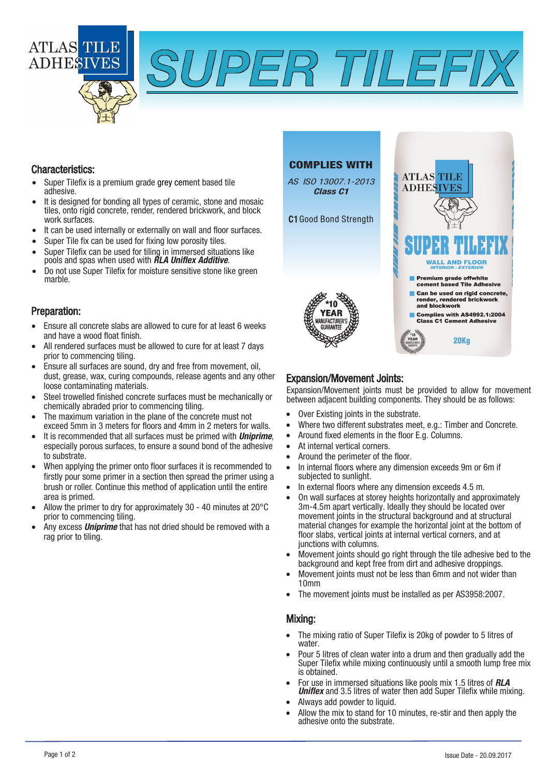



#### Characteristics:

- Super Tilefix is a premium grade grey cement based tile adhesive.
- It is designed for bonding all types of ceramic, stone and mosaic tiles, onto rigid concrete, render, rendered brickwork, and block work surfaces.
- It can be used internally or externally on wall and floor surfaces.
- Super Tile fix can be used for fixing low porosity tiles.
- Super Tilefix can be used for tiling in immersed situations like pools and spas when used with **RLA Uniflex Additive**.
- Do not use Super Tilefix for moisture sensitive stone like green marble.

### Preparation:

- Ensure all concrete slabs are allowed to cure for at least 6 weeks and have a wood float finish.
- All rendered surfaces must be allowed to cure for at least 7 days prior to commencing tiling.
- Ensure all surfaces are sound, dry and free from movement, oil, dust, grease, wax, curing compounds, release agents and any other loose contaminating materials.
- Steel trowelled finished concrete surfaces must be mechanically or chemically abraded prior to commencing tiling.
- The maximum variation in the plane of the concrete must not exceed 5mm in 3 meters for floors and 4mm in 2 meters for walls.
- It is recommended that all surfaces must be primed with **Uniprime**, especially porous surfaces, to ensure a sound bond of the adhesive to substrate.
- When applying the primer onto floor surfaces it is recommended to firstly pour some primer in a section then spread the primer using a brush or roller. Continue this method of application until the entire area is primed.
- Allow the primer to dry for approximately 30 40 minutes at 20°C prior to commencing tiling.
- Any excess **Uniprime** that has not dried should be removed with a rag prior to tiling.

# COMPLIES WITH

AS ISO 13007.1-2013 Class C1

C1 Good Bond Strength



# Expansion/Movement Joints:

Expansion/Movement joints must be provided to allow for movement between adjacent building components. They should be as follows:

- Over Existing joints in the substrate.
- Where two different substrates meet, e.g.: Timber and Concrete.
- Around fixed elements in the floor E.g. Columns.
- At internal vertical corners.
- Around the perimeter of the floor.
- In internal floors where any dimension exceeds 9m or 6m if subjected to sunlight.
- In external floors where any dimension exceeds 4.5 m.
- On wall surfaces at storey heights horizontally and approximately 3m-4.5m apart vertically. Ideally they should be located over movement joints in the structural background and at structural material changes for example the horizontal joint at the bottom of floor slabs, vertical joints at internal vertical corners, and at junctions with columns.
- Movement joints should go right through the tile adhesive bed to the background and kept free from dirt and adhesive droppings.
- Movement joints must not be less than 6mm and not wider than 10mm
- The movement joints must be installed as per AS3958:2007.

#### Mixing:

- The mixing ratio of Super Tilefix is 20kg of powder to 5 litres of water
- Pour 5 litres of clean water into a drum and then gradually add the Super Tilefix while mixing continuously until a smooth lump free mix is obtained.
- For use in immersed situations like pools mix 1.5 litres of **RLA Uniflex** and 3.5 litres of water then add Super Tilefix while mixing.
- Always add powder to liquid.
- Allow the mix to stand for 10 minutes, re-stir and then apply the adhesive onto the substrate.